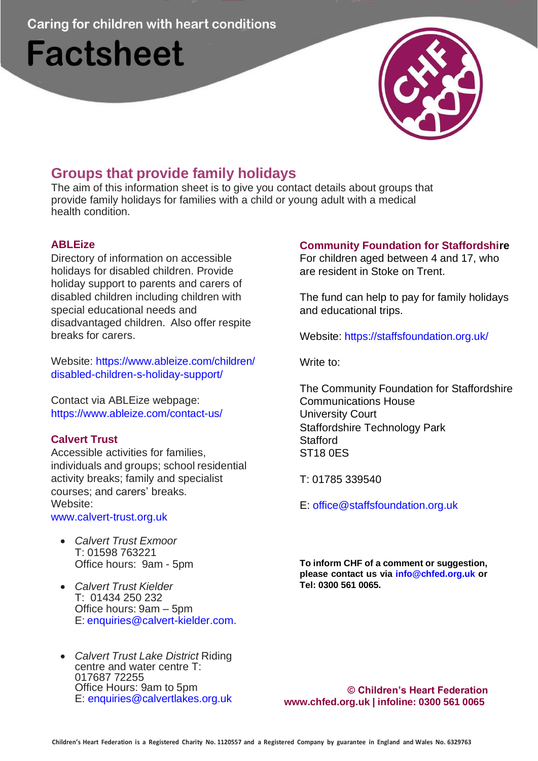**Caring for children with heart conditions** 

# **Factsheet**



# **Groups that provide family holidays**

The aim of this information sheet is to give you contact details about groups that provide family holidays for families with a child or young adult with a medical health condition.

### **ABLEize**

Directory of information on accessible holidays for disabled children. Provide holiday support to parents and carers of disabled children including children with special educational needs and disadvantaged children. Also offer respite breaks for carers.

Website: [https://www.ableize.com/children/](http://www.ableize.com/children/) disabled-children-s-holiday-support/

Contact via ABLEize webpage: [https://www.ableize.com/contact-us/](http://www.ableize.com/contact-us/)

## **Calvert Trust**

Accessible activities for families, individuals and groups; school residential activity breaks; family and specialist courses; and carers' breaks. Website:

[www.calvert-trust.org.uk](http://www.calvert-trust.org.uk/)

- *Calvert Trust Exmoor* T: 01598 763221 Office hours: 9am - 5pm
- *Calvert Trust Kielder* T: 01434 250 232 Office hours: 9am – 5pm E: [enquiries@calvert-kielder.com.](mailto:enquiries@calvert-kielder.com)
- *Calvert Trust Lake District* Riding centre and water centre T: 017687 72255 Office Hours: 9am to 5pm E: [enquiries@calvertlakes.org.uk](mailto:enquiries@calvertlakes.org.uk)

# **Community Foundation for Staffordshire**

For children aged between 4 and 17, who are resident in Stoke on Trent.

The fund can help to pay for family holidays and educational trips.

Website: https://staffsfoundation.org.uk/

Write to:

The Community Foundation for Staffordshire Communications House University Court Staffordshire Technology Park **Stafford** ST18 0ES

T: 01785 339540

E: [office@staffsfoundation.org.uk](mailto:office@staffsfoundation.org.uk)

**To inform CHF of a comment or suggestion, please contact us via [info@chfed.org.uk o](mailto:info@chfed.org.uk)r Tel: 0300 561 0065.**

**© Children's Heart Federation [www.chfed.org.uk](http://www.chfed.org.uk/) | infoline: 0300 561 0065**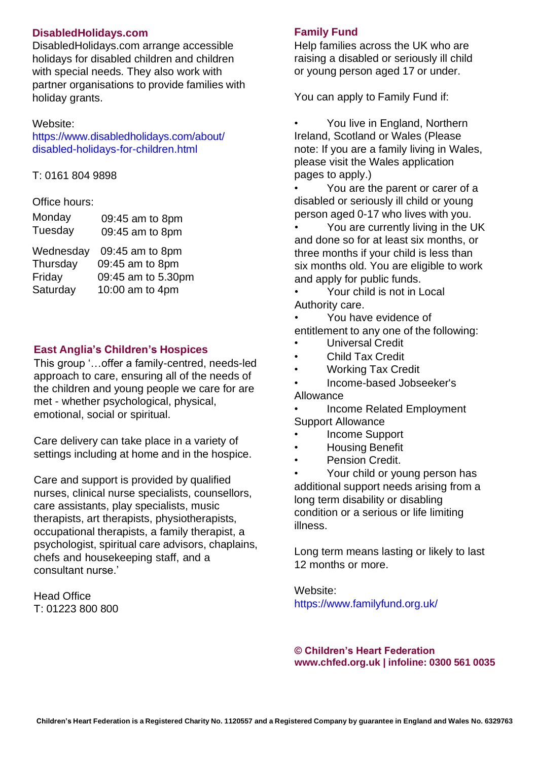#### **DisabledHolidays.com**

DisabledHolidays.com arrange accessible holidays for disabled children and children with special needs. They also work with partner organisations to provide families with holiday grants.

#### Website:

[https://www.disabledholidays.com/about/](http://www.disabledholidays.com/about/) disabled-holidays-for-children.html

T: 0161 804 9898

#### Office hours:

| Monday  | 09:45 am to 8pm |
|---------|-----------------|
| Tuesday | 09:45 am to 8pm |

| Wednesday | 09:45 am to 8pm    |
|-----------|--------------------|
| Thursday  | 09:45 am to 8pm    |
| Friday    | 09:45 am to 5.30pm |
| Saturday  | 10:00 am to 4pm    |

#### **East Anglia's Children's Hospices**

This group '…offer a family-centred, needs-led approach to care, ensuring all of the needs of the children and young people we care for are met - whether psychological, physical, emotional, social or spiritual.

Care delivery can take place in a variety of settings including at home and in the hospice.

Care and support is provided by qualified nurses, clinical nurse specialists, counsellors, care assistants, play specialists, music therapists, art therapists, physiotherapists, occupational therapists, a family therapist, a psychologist, spiritual care advisors, chaplains, chefs and housekeeping staff, and a consultant nurse.'

Head Office T: 01223 800 800

#### **Family Fund**

Help families across the UK who are raising a disabled or seriously ill child or young person aged 17 or under.

You can apply to Family Fund if:

You live in England, Northern Ireland, Scotland or Wales (Please note: If you are a family living in Wales, please visit the Wales application pages to apply.)

You are the parent or carer of a disabled or seriously ill child or young person aged 0-17 who lives with you.

You are currently living in the UK and done so for at least six months, or three months if your child is less than six months old. You are eligible to work and apply for public funds.

• Your child is not in Local Authority care.

• You have evidence of entitlement to any one of the following:

- Universal Credit
- Child Tax Credit
- Working Tax Credit
- Income-based Jobseeker's Allowance

• Income Related Employment Support Allowance

- Income Support
- Housing Benefit
- Pension Credit.

• Your child or young person has additional support needs arising from a long term disability or disabling condition or a serious or life limiting illness.

Long term means lasting or likely to last 12 months or more.

Website: [https://www.familyfund.org.uk/](http://www.familyfund.org.uk/)

**© Children's Heart Federation [www.chfed.org.uk](http://www.chfed.org.uk/) | infoline: 0300 561 0035**